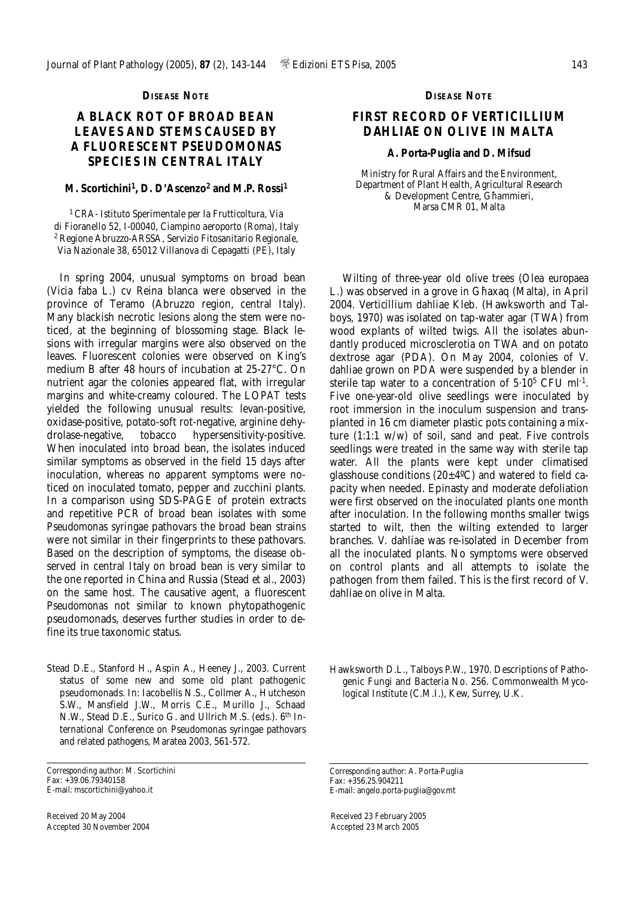## **DISEASE NOTE**

# **A BLACK ROT OF BROAD BEAN LEAVES AND STEMS CAUSED BY A FLUORESCENT** *PSEUDOMONAS* **SPECIES IN CENTRAL ITALY**

### **M. Scortichini1, D. D'Ascenzo2 and M.P. Rossi1**

<sup>1</sup>*CRA- Istituto Sperimentale per la Frutticoltura, Via di Fioranello 52, I-00040, Ciampino aeroporto (Roma), Italy* <sup>2</sup>*Regione Abruzzo-ARSSA, Servizio Fitosanitario Regionale, Via Nazionale 38, 65012 Villanova di Cepagatti (PE), Italy*

In spring 2004, unusual symptoms on broad bean (*Vicia faba* L.) cv Reina blanca were observed in the province of Teramo (Abruzzo region, central Italy). Many blackish necrotic lesions along the stem were noticed, at the beginning of blossoming stage. Black lesions with irregular margins were also observed on the leaves. Fluorescent colonies were observed on King's medium B after 48 hours of incubation at 25-27°C. On nutrient agar the colonies appeared flat, with irregular margins and white-creamy coloured. The LOPAT tests yielded the following unusual results: levan-positive, oxidase-positive, potato-soft rot-negative, arginine dehydrolase-negative, tobacco hypersensitivity-positive. When inoculated into broad bean, the isolates induced similar symptoms as observed in the field 15 days after inoculation, whereas no apparent symptoms were noticed on inoculated tomato, pepper and zucchini plants. In a comparison using SDS-PAGE of protein extracts and repetitive PCR of broad bean isolates with some *Pseudomonas syringae* pathovars the broad bean strains were not similar in their fingerprints to these pathovars. Based on the description of symptoms, the disease observed in central Italy on broad bean is very similar to the one reported in China and Russia (Stead *et al*., 2003) on the same host. The causative agent, a fluorescent *Pseudomonas* not similar to known phytopathogenic pseudomonads, deserves further studies in order to define its true taxonomic status.

Stead D.E., Stanford H., Aspin A., Heeney J., 2003. Current status of some new and some old plant pathogenic pseudomonads. In: Iacobellis N.S., Collmer A., Hutcheson S.W., Mansfield J.W., Morris C.E., Murillo J., Schaad N.W., Stead D.E., Surico G. and Ullrich M.S. (eds.). *6th International Conference on Pseudomonas syringae pathovars and related pathogens*, *Maratea* 2003, 561-572.

Received 20 May 2004 Accepted 30 November 2004

#### **DISEASE NOTE**

# **FIRST RECORD OF** *VERTICILLIUM DAHLIAE* **ON OLIVE IN MALTA**

#### **A. Porta-Puglia and D. Mifsud**

*Ministry for Rural Affairs and the Environment, Department of Plant Health, Agricultural Research*   $&$  *Development Centre, Ghammieri, Marsa CMR 01, Malta*

Wilting of three-year old olive trees (*Olea europaea* L.) was observed in a grove in Ghaxaq (Malta), in April 2004. *Verticillium dahliae* Kleb. (Hawksworth and Talboys, 1970) was isolated on tap-water agar (TWA) from wood explants of wilted twigs. All the isolates abundantly produced microsclerotia on TWA and on potato dextrose agar (PDA). On May 2004, colonies of *V. dahliae* grown on PDA were suspended by a blender in sterile tap water to a concentration of  $5.10^5$  CFU ml<sup>-1</sup>. Five one-year-old olive seedlings were inoculated by root immersion in the inoculum suspension and transplanted in 16 cm diameter plastic pots containing a mixture (1:1:1 w/w) of soil, sand and peat. Five controls seedlings were treated in the same way with sterile tap water. All the plants were kept under climatised glasshouse conditions  $(20\pm4\degree C)$  and watered to field capacity when needed. Epinasty and moderate defoliation were first observed on the inoculated plants one month after inoculation. In the following months smaller twigs started to wilt, then the wilting extended to larger branches. *V. dahliae* was re-isolated in December from all the inoculated plants. No symptoms were observed on control plants and all attempts to isolate the pathogen from them failed. This is the first record of *V. dahliae* on olive in Malta.

Hawksworth D.L., Talboys P.W., 1970. Descriptions of Pathogenic Fungi and Bacteria No. 256. Commonwealth Mycological Institute (C.M.I.), Kew, Surrey, U.K.

*Corresponding author*: A. Porta-Puglia Fax: +356.25.904211 E-mail: angelo.porta-puglia@gov.mt

Received 23 February 2005 Accepted 23 March 2005

*Corresponding author*: M. Scortichini Fax: +39.06.79340158 E-mail: mscortichini@yahoo.it